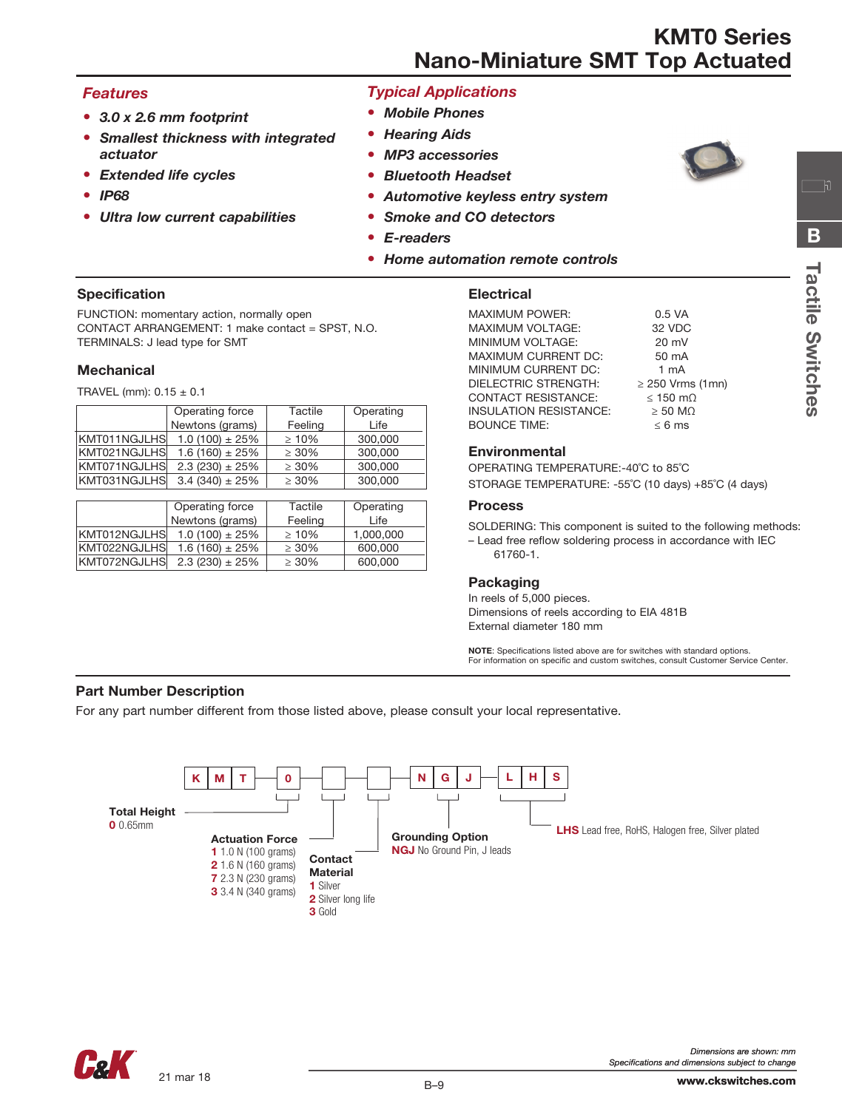# *Features*

- *• 3.0 x 2.6 mm footprint*
- *• Smallest thickness with integrated actuator*
- *• Extended life cycles*
- *• IP68*
- *• Ultra low current capabilities*

# *Typical Applications*

- *• Mobile Phones*
- *• Hearing Aids*
- *• MP3 accessories*
- *• Bluetooth Headset*
- *• Automotive keyless entry system*
- *• Smoke and CO detectors*
- *• E-readers*
- *• Home automation remote controls*

### Specification

FUNCTION: momentary action, normally open CONTACT ARRANGEMENT: 1 make contact = SPST, N.O. TERMINALS: J lead type for SMT

#### **Mechanical**

TRAVEL (mm):  $0.15 \pm 0.1$ 

|              | Operating force     | Tactile     | Operating |
|--------------|---------------------|-------------|-----------|
|              | Newtons (grams)     | Feeling     | Life      |
| KMT011NGJLHS | $1.0(100) \pm 25\%$ | $\geq 10\%$ | 300,000   |
| KMT021NGJLHS | $1.6(160) \pm 25\%$ | $\geq 30\%$ | 300,000   |
| KMT071NGJLHS | $2.3(230) \pm 25\%$ | $\geq 30\%$ | 300,000   |
| KMT031NGJLHS | $3.4(340) \pm 25\%$ | $\geq 30\%$ | 300,000   |

|              | Operating force     | Tactile     | Operating |
|--------------|---------------------|-------------|-----------|
|              | Newtons (grams)     | Feeling     | Life      |
| KMT012NGJLHS | $1.0(100) \pm 25\%$ | $>10\%$     | 1.000.000 |
| KMT022NGJLHS | $1.6(160) \pm 25\%$ | $\geq 30\%$ | 600,000   |
| KMT072NGJLHS | $2.3(230) \pm 25\%$ | $\geq 30\%$ | 600,000   |

#### **Electrical**

| <b>MAXIMUM POWER:</b>         | $0.5$ VA              |
|-------------------------------|-----------------------|
| <b>MAXIMUM VOLTAGE:</b>       | 32 VDC                |
| MINIMUM VOLTAGE:              | $20 \text{ mV}$       |
| <b>MAXIMUM CURRENT DC:</b>    | 50 mA                 |
| MINIMUM CURRENT DC:           | $1 \text{ mA}$        |
| <b>DIELECTRIC STRENGTH:</b>   | $\geq$ 250 Vrms (1mn) |
| <b>CONTACT RESISTANCE:</b>    | $\leq$ 150 m $\Omega$ |
| <b>INSULATION RESISTANCE:</b> | $>$ 50 MQ             |
| <b>BOUNCE TIME:</b>           | $\leq 6$ ms           |
|                               |                       |

#### Environmental

OPERATING TEMPERATURE:-40˚C to 85˚C STORAGE TEMPERATURE: -55˚C (10 days) +85˚C (4 days)

#### Process

SOLDERING: This component is suited to the following methods:

Tactile Switches

**Tactile Switches** 

B

— ប

– Lead free reflow soldering process in accordance with IEC 61760-1.

### Packaging

In reels of 5,000 pieces. Dimensions of reels according to EIA 481B External diameter 180 mm

NOTE: Specifications listed above are for switches with standard options. For information on specific and custom switches, consult Customer Service Center.

#### Part Number Description

For any part number different from those listed above, please consult your local representative.